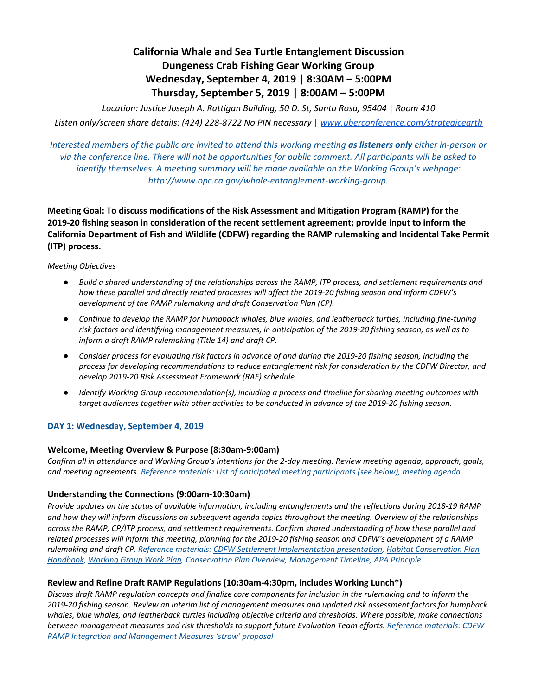# **California Whale and Sea Turtle Entanglement Discussion Dungeness Crab Fishing Gear Working Group Wednesday, September 4, 2019 | 8:30AM – 5:00PM Thursday, September 5, 2019 | 8:00AM – 5:00PM**

*Location: Justice Joseph A. Rattigan Building, 50 D. St, Santa Rosa, 95404* | *Room 410 Listen only/screen share details: (424) 228-8722 No PIN necessary* | *[www.uberconference.com/strategicearth](http://www.uberconference.com/strategicearth)*

Interested members of the public are invited to attend this working meeting as listeners only either in-person or via the conference line. There will not be opportunities for public comment. All participants will be asked to *identify themselves. A meeting summary will be made available on the Working Group's webpage: [http://www.opc.ca.gov/whale-entanglement-working-group.](http://www.opc.ca.gov/whale-entanglement-working-group/)*

**Meeting Goal: To discuss modifications of the Risk Assessment and Mitigation Program (RAMP) for the 2019-20 fishing season in consideration of the recent settlement agreement; provide input to inform the California Department of Fish and Wildlife (CDFW) regarding the RAMP rulemaking and Incidental Take Permit (ITP) process.**

## *Meeting Objectives*

- Build a shared understanding of the relationships across the RAMP, ITP process, and settlement requirements and *how these parallel and directly related processes will affect the 2019-20 fishing season and inform CDFW's development of the RAMP rulemaking and draft Conservation Plan (CP).*
- *● Continue to develop the RAMP for humpback whales, blue whales, and leatherback turtles, including fine-tuning* risk factors and identifying management measures, in anticipation of the 2019-20 fishing season, as well as to *inform a draft RAMP rulemaking (Title 14) and draft CP.*
- Consider process for evaluating risk factors in advance of and during the 2019-20 fishing season, including the *process for developing recommendations to reduce entanglement risk for consideration by the CDFW Director, and develop 2019-20 Risk Assessment Framework (RAF) schedule.*
- *● Identify Working Group recommendation(s), including a process and timeline for sharing meeting outcomes with target audiences together with other activities to be conducted in advance of the 2019-20 fishing season.*

# **DAY 1: Wednesday, September 4, 2019**

# **Welcome, Meeting Overview & Purpose (8:30am-9:00am)**

Confirm all in attendance and Working Group's intentions for the 2-day meeting. Review meeting agenda, approach, goals, *and meeting agreements. Reference materials: List of anticipated meeting participants (see below), meeting agenda*

# **Understanding the Connections (9:00am-10:30am)**

Provide updates on the status of available information, including entanglements and the reflections during 2018-19 RAMP and how they will inform discussions on subsequent agenda topics throughout the meeting. Overview of the relationships across the RAMP. CP/ITP process, and settlement reaujrements. Confirm shared understanding of how these parallel and related processes will inform this meeting, planning for the 2019-20 fishing season and CDFW's development of a RAMP *rulemaking and draft CP. Reference materials: CDFW Settlement [Implementation](https://drive.google.com/open?id=0B6-V3xUQO_ivZDg5dy1nLVNwd21wOE9WS0xTbUpELW5xVUFv) presentation, Habitat [Conservation](https://www.fws.gov/endangered/what-we-do/hcp_handbook-chapters.html) Plan [Handbook](https://www.fws.gov/endangered/what-we-do/hcp_handbook-chapters.html), [Working](https://drive.google.com/open?id=12lDBUKjdAfnC9knU0PFm_YsIuLeTkRqr) Group Work Plan, Conservation Plan Overview, Management Timeline, APA Principle*

# **Review and Refine Draft RAMP Regulations (10:30am-4:30pm, includes Working Lunch\*)**

Discuss draft RAMP regulation concepts and finalize core components for inclusion in the rulemaking and to inform the 2019-20 fishing season. Review an interim list of management measures and updated risk assessment factors for humpback whales, blue whales, and leatherback turtles including objective criteria and thresholds. Where possible, make connections *between management measures and risk thresholds to support future Evaluation Team efforts. Reference materials: CDFW RAMP Integration and Management Measures 'straw' proposal*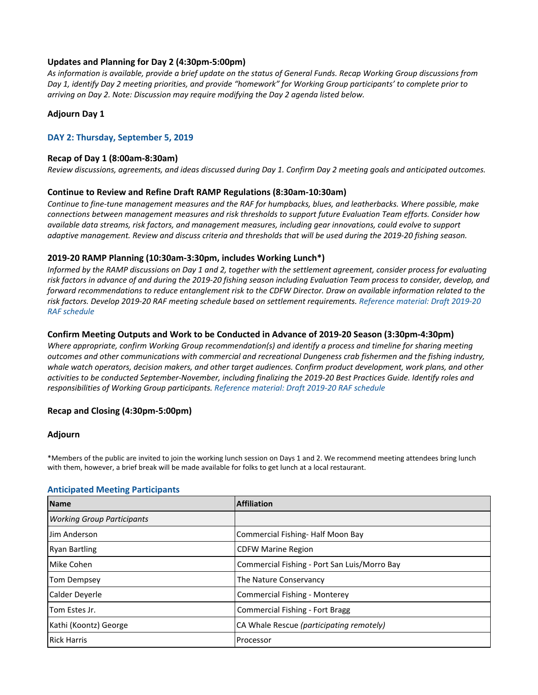# **Updates and Planning for Day 2 (4:30pm-5:00pm)**

As information is available, provide a brief update on the status of General Funds. Recap Working Group discussions from Day 1, identify Day 2 meeting priorities, and provide "homework" for Working Group participants' to complete prior to *arriving on Day 2. Note: Discussion may require modifying the Day 2 agenda listed below.*

# **Adjourn Day 1**

## **DAY 2: Thursday, September 5, 2019**

#### **Recap of Day 1 (8:00am-8:30am)**

Review discussions, agreements, and ideas discussed during Day 1. Confirm Day 2 meeting goals and anticipated outcomes.

## **Continue to Review and Refine Draft RAMP Regulations (8:30am-10:30am)**

Continue to fine-tune management measures and the RAF for humpbacks, blues, and leatherbacks. Where possible, make *connections between management measures and risk thresholds to support future Evaluation Team efforts. Consider how available data streams, risk factors, and management measures, including gear innovations, could evolve to support* adaptive management. Review and discuss criteria and thresholds that will be used during the 2019-20 fishing season.

## **2019-20 RAMP Planning (10:30am-3:30pm, includes Working Lunch\*)**

Informed by the RAMP discussions on Day 1 and 2, together with the settlement agreement, consider process for evaluating risk factors in advance of and during the 2019-20 fishing season including Evaluation Team process to consider, develop, and forward recommendations to reduce entanglement risk to the CDFW Director. Draw on available information related to the *risk factors. Develop 2019-20 RAF meeting schedule based on settlement requirements. Reference material: Draft 2019-20 RAF schedule*

## **Confirm Meeting Outputs and Work to be Conducted in Advance of 2019-20 Season (3:30pm-4:30pm)**

*Where appropriate, confirm Working Group recommendation(s) and identify a process and timeline for sharing meeting outcomes and other communications with commercial and recreational Dungeness crab fishermen and the fishing industry,* whale watch operators, decision makers, and other target audiences. Confirm product development, work plans, and other activities to be conducted September-November, including finalizing the 2019-20 Best Practices Guide. Identify roles and *responsibilities of Working Group participants. Reference material: Draft 2019-20 RAF schedule*

## **Recap and Closing (4:30pm-5:00pm)**

## **Adjourn**

\*Members of the public are invited to join the working lunch session on Days 1 and 2. We recommend meeting attendees bring lunch with them, however, a brief break will be made available for folks to get lunch at a local restaurant.

| <b>Name</b>                       | <b>Affiliation</b>                           |
|-----------------------------------|----------------------------------------------|
| <b>Working Group Participants</b> |                                              |
| Jim Anderson                      | Commercial Fishing-Half Moon Bay             |
| <b>Ryan Bartling</b>              | <b>CDFW Marine Region</b>                    |
| Mike Cohen                        | Commercial Fishing - Port San Luis/Morro Bay |
| Tom Dempsey                       | The Nature Conservancy                       |
| Calder Deverle                    | <b>Commercial Fishing - Monterey</b>         |
| Tom Estes Jr.                     | <b>Commercial Fishing - Fort Bragg</b>       |
| Kathi (Koontz) George             | CA Whale Rescue (participating remotely)     |
| <b>Rick Harris</b>                | Processor                                    |

# **Anticipated Meeting Participants**